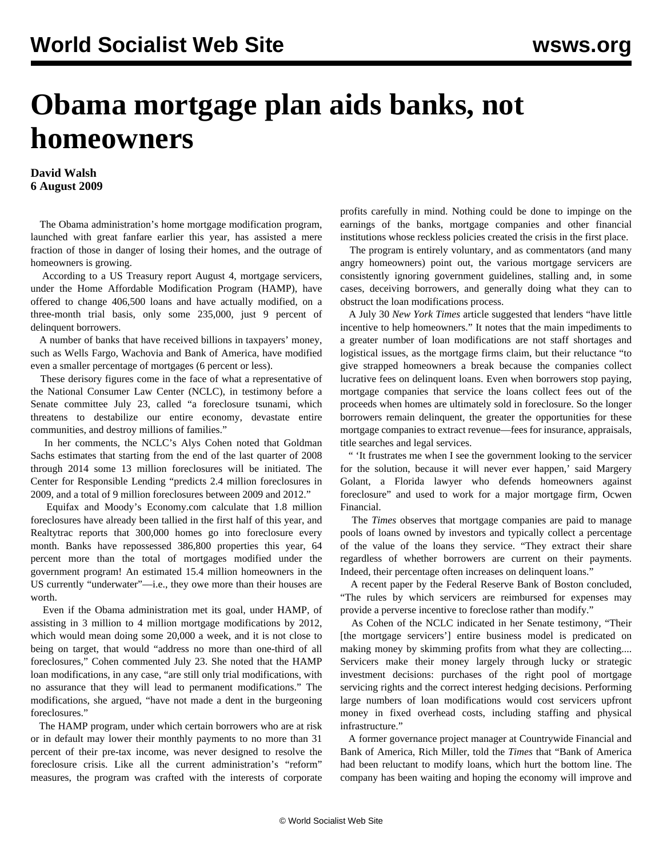## **Obama mortgage plan aids banks, not homeowners**

**David Walsh 6 August 2009**

 The Obama administration's home mortgage modification program, launched with great fanfare earlier this year, has assisted a mere fraction of those in danger of losing their homes, and the outrage of homeowners is growing.

 According to a US Treasury report August 4, mortgage servicers, under the Home Affordable Modification Program (HAMP), have offered to change 406,500 loans and have actually modified, on a three-month trial basis, only some 235,000, just 9 percent of delinquent borrowers.

 A number of banks that have received billions in taxpayers' money, such as Wells Fargo, Wachovia and Bank of America, have modified even a smaller percentage of mortgages (6 percent or less).

 These derisory figures come in the face of what a representative of the National Consumer Law Center (NCLC), in testimony before a Senate committee July 23, called "a foreclosure tsunami, which threatens to destabilize our entire economy, devastate entire communities, and destroy millions of families."

 In her comments, the NCLC's Alys Cohen noted that Goldman Sachs estimates that starting from the end of the last quarter of 2008 through 2014 some 13 million foreclosures will be initiated. The Center for Responsible Lending "predicts 2.4 million foreclosures in 2009, and a total of 9 million foreclosures between 2009 and 2012."

 Equifax and Moody's Economy.com calculate that 1.8 million foreclosures have already been tallied in the first half of this year, and Realtytrac reports that 300,000 homes go into foreclosure every month. Banks have repossessed 386,800 properties this year, 64 percent more than the total of mortgages modified under the government program! An estimated 15.4 million homeowners in the US currently "underwater"—i.e., they owe more than their houses are worth.

 Even if the Obama administration met its goal, under HAMP, of assisting in 3 million to 4 million mortgage modifications by 2012, which would mean doing some 20,000 a week, and it is not close to being on target, that would "address no more than one-third of all foreclosures," Cohen commented July 23. She noted that the HAMP loan modifications, in any case, "are still only trial modifications, with no assurance that they will lead to permanent modifications." The modifications, she argued, "have not made a dent in the burgeoning foreclosures."

 The HAMP program, under which certain borrowers who are at risk or in default may lower their monthly payments to no more than 31 percent of their pre-tax income, was never designed to resolve the foreclosure crisis. Like all the current administration's "reform" measures, the program was crafted with the interests of corporate profits carefully in mind. Nothing could be done to impinge on the earnings of the banks, mortgage companies and other financial institutions whose reckless policies created the crisis in the first place.

 The program is entirely voluntary, and as commentators (and many angry homeowners) point out, the various mortgage servicers are consistently ignoring government guidelines, stalling and, in some cases, deceiving borrowers, and generally doing what they can to obstruct the loan modifications process.

 A July 30 *New York Times* article suggested that lenders "have little incentive to help homeowners." It notes that the main impediments to a greater number of loan modifications are not staff shortages and logistical issues, as the mortgage firms claim, but their reluctance "to give strapped homeowners a break because the companies collect lucrative fees on delinquent loans. Even when borrowers stop paying, mortgage companies that service the loans collect fees out of the proceeds when homes are ultimately sold in foreclosure. So the longer borrowers remain delinquent, the greater the opportunities for these mortgage companies to extract revenue—fees for insurance, appraisals, title searches and legal services.

 " 'It frustrates me when I see the government looking to the servicer for the solution, because it will never ever happen,' said Margery Golant, a Florida lawyer who defends homeowners against foreclosure" and used to work for a major mortgage firm, Ocwen Financial.

 The *Times* observes that mortgage companies are paid to manage pools of loans owned by investors and typically collect a percentage of the value of the loans they service. "They extract their share regardless of whether borrowers are current on their payments. Indeed, their percentage often increases on delinquent loans."

 A recent paper by the Federal Reserve Bank of Boston concluded, "The rules by which servicers are reimbursed for expenses may provide a perverse incentive to foreclose rather than modify."

 As Cohen of the NCLC indicated in her Senate testimony, "Their [the mortgage servicers'] entire business model is predicated on making money by skimming profits from what they are collecting.... Servicers make their money largely through lucky or strategic investment decisions: purchases of the right pool of mortgage servicing rights and the correct interest hedging decisions. Performing large numbers of loan modifications would cost servicers upfront money in fixed overhead costs, including staffing and physical infrastructure."

 A former governance project manager at Countrywide Financial and Bank of America, Rich Miller, told the *Times* that "Bank of America had been reluctant to modify loans, which hurt the bottom line. The company has been waiting and hoping the economy will improve and